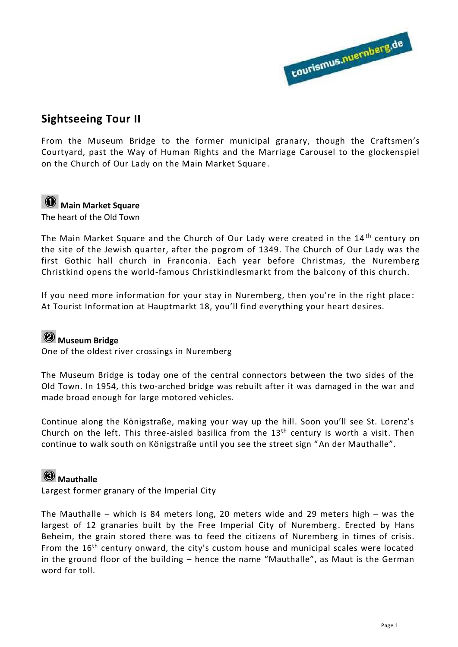

#### **Sightseeing Tour II**

From the Museum Bridge to the former municipal granary, though the Craftsmen's Courtyard, past the Way of Human Rights and the Marriage Carousel to the glockenspiel on the Church of Our Lady on the Main Market Square.

# **Main Market Square**

The heart of the Old Town

The Main Market Square and the Church of Our Lady were created in the 14<sup>th</sup> century on the site of the Jewish quarter, after the pogrom of 1349. The Church of Our Lady was the first Gothic hall church in Franconia. Each year before Christmas, the Nuremberg Christkind opens the world-famous Christkindlesmarkt from the balcony of this church.

If you need more information for your stay in Nuremberg, then you're in the right place : At Tourist Information at Hauptmarkt 18, you'll find everything your heart desires.

# **Museum Bridge**

One of the oldest river crossings in Nuremberg

The Museum Bridge is today one of the central connectors between the two sides of the Old Town. In 1954, this two-arched bridge was rebuilt after it was damaged in the war and made broad enough for large motored vehicles.

Continue along the Königstraße, making your way up the hill. Soon you'll see St. Lorenz's Church on the left. This three-aisled basilica from the  $13<sup>th</sup>$  century is worth a visit. Then continue to walk south on Königstraße until you see the street sign "An der Mauthalle".

### **Mauthalle**

Largest former granary of the Imperial City

The Mauthalle – which is 84 meters long, 20 meters wide and 29 meters high – was the largest of 12 granaries built by the Free Imperial City of Nuremberg. Erected by Hans Beheim, the grain stored there was to feed the citizens of Nuremberg in times of crisis. From the  $16<sup>th</sup>$  century onward, the city's custom house and municipal scales were located in the ground floor of the building – hence the name "Mauthalle", as Maut is the German word for toll.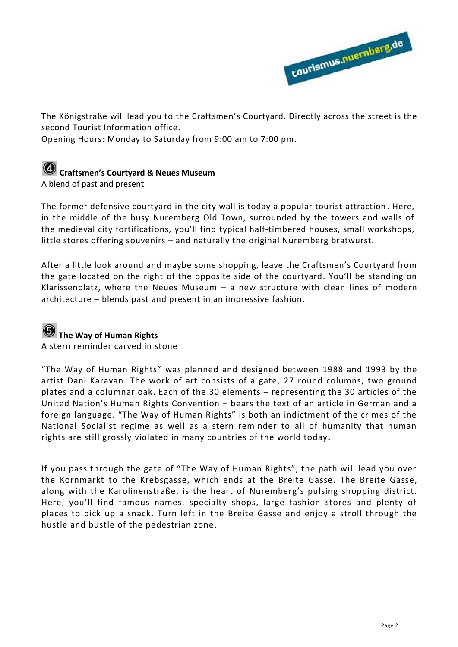

The Königstraße will lead you to the Craftsmen's Courtyard. Directly across the street is the second Tourist Information office.

Opening Hours: Monday to Saturday from 9:00 am to 7:00 pm.

# **Craftsmen's Courtyard & Neues Museum**

A blend of past and present

The former defensive courtyard in the city wall is today a popular tourist attraction . Here, in the middle of the busy Nuremberg Old Town, surrounded by the towers and walls of the medieval city fortifications, you'll find typical half-timbered houses, small workshops, little stores offering souvenirs – and naturally the original Nuremberg bratwurst.

After a little look around and maybe some shopping, leave the Craftsmen's Courtyard from the gate located on the right of the opposite side of the courtyard. You'll be standing on Klarissenplatz, where the Neues Museum – a new structure with clean lines of modern architecture – blends past and present in an impressive fashion.

# **G** The Way of Human Rights

A stern reminder carved in stone

"The Way of Human Rights" was planned and designed between 1988 and 1993 by the artist Dani Karavan. The work of art consists of a gate, 27 round columns, two ground plates and a columnar oak. Each of the 30 elements – representing the 30 articles of the United Nation's Human Rights Convention – bears the text of an article in German and a foreign language. "The Way of Human Rights" is both an indictment of the crimes of the National Socialist regime as well as a stern reminder to all of humanity that human rights are still grossly violated in many countries of the world today.

If you pass through the gate of "The Way of Human Rights", the path will lead you over the Kornmarkt to the Krebsgasse, which ends at the Breite Gasse. The Breite Gasse, along with the Karolinenstraße, is the heart of Nuremberg's pulsing shopping district. Here, you'll find famous names, specialty shops, large fashion stores and plenty of places to pick up a snack. Turn left in the Breite Gasse and enjoy a stroll through the hustle and bustle of the pedestrian zone.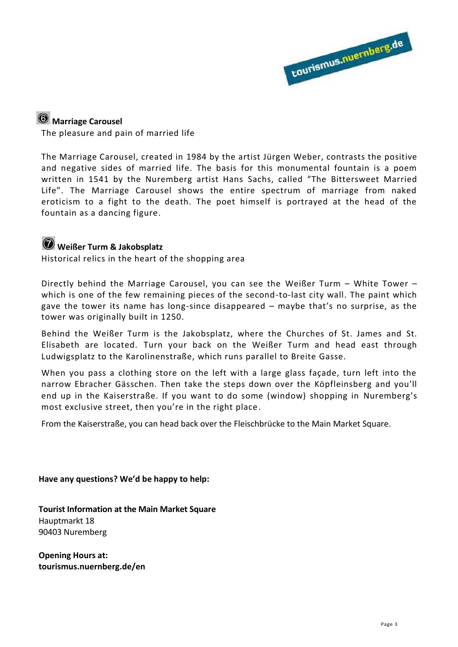

# **Marriage Carousel**

The pleasure and pain of married life

The Marriage Carousel, created in 1984 by the artist Jürgen Weber, contrasts the positive and negative sides of married life. The basis for this monumental fountain is a poem written in 1541 by the Nuremberg artist Hans Sachs, called "The Bittersweet Married Life". The Marriage Carousel shows the entire spectrum of marriage from naked eroticism to a fight to the death. The poet himself is portrayed at the head of the fountain as a dancing figure.

# **Weißer Turm & Jakobsplatz**

Historical relics in the heart of the shopping area

Directly behind the Marriage Carousel, you can see the Weißer Turm – White Tower – which is one of the few remaining pieces of the second-to-last city wall. The paint which gave the tower its name has long-since disappeared – maybe that's no surprise, as the tower was originally built in 1250.

Behind the Weißer Turm is the Jakobsplatz, where the Churches of St. James and St. Elisabeth are located. Turn your back on the Weißer Turm and head east through Ludwigsplatz to the Karolinenstraße, which runs parallel to Breite Gasse.

When you pass a clothing store on the left with a large glass façade, turn left into the narrow Ebracher Gässchen. Then take the steps down over the Köpfleinsberg and you'll end up in the Kaiserstraße. If you want to do some (window) shopping in Nuremberg's most exclusive street, then you're in the right place.

From the Kaiserstraße, you can head back over the Fleischbrücke to the Main Market Square.

**Have any questions? We'd be happy to help:** 

**Tourist Information at the Main Market Square**  Hauptmarkt 18 90403 Nuremberg

**Opening Hours at: tourismus.nuernberg.de/en**